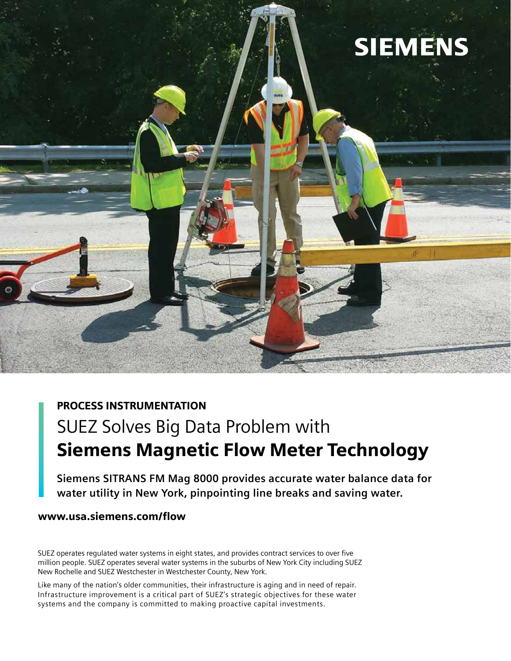

## PROCESS INSTRUMENTATION

# SUEZ Solves Big Data Problem with Siemens Magnetic Flow Meter Technology

**Siemens SITRANS FM Mag 8000 provides accurate water balance data for water utility in New York, pinpointing line breaks and saving water.**

## www.usa.siemens.com/flow

SUEZ operates regulated water systems in eight states, and provides contract services to over five million people. SUEZ operates several water systems in the suburbs of New York City including SUEZ New Rochelle and SUEZ Westchester in Westchester County, New York.

Like many of the nation's older communities, their infrastructure is aging and in need of repair. Infrastructure improvement is a critical part of SUEZ's strategic objectives for these water systems and the company is committed to making proactive capital investments.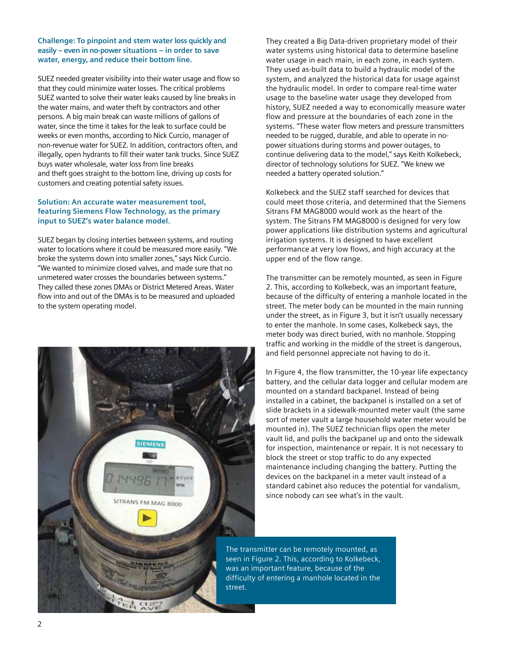#### **Challenge: To pinpoint and stem water loss quickly and easily – even in no-power situations – in order to save water, energy, and reduce their bottom line.**

SUEZ needed greater visibility into their water usage and flow so that they could minimize water losses. The critical problems SUEZ wanted to solve their water leaks caused by line breaks in the water mains, and water theft by contractors and other persons. A big main break can waste millions of gallons of water, since the time it takes for the leak to surface could be weeks or even months, according to Nick Curcio, manager of non-revenue water for SUEZ. In addition, contractors often, and illegally, open hydrants to fill their water tank trucks. Since SUEZ buys water wholesale, water loss from line breaks and theft goes straight to the bottom line, driving up costs for customers and creating potential safety issues.

### **Solution: An accurate water measurement tool, featuring Siemens Flow Technology, as the primary input to SUEZ's water balance model.**

SUEZ began by closing interties between systems, and routing water to locations where it could be measured more easily. "We broke the systems down into smaller zones," says Nick Curcio. "We wanted to minimize closed valves, and made sure that no unmetered water crosses the boundaries between systems." They called these zones DMAs or District Metered Areas. Water flow into and out of the DMAs is to be measured and uploaded to the system operating model.



They created a Big Data-driven proprietary model of their water systems using historical data to determine baseline water usage in each main, in each zone, in each system. They used as-built data to build a hydraulic model of the system, and analyzed the historical data for usage against the hydraulic model. In order to compare real-time water usage to the baseline water usage they developed from history, SUEZ needed a way to economically measure water flow and pressure at the boundaries of each zone in the systems. "These water flow meters and pressure transmitters needed to be rugged, durable, and able to operate in nopower situations during storms and power outages, to continue delivering data to the model," says Keith Kolkebeck, director of technology solutions for SUEZ. "We knew we needed a battery operated solution."

Kolkebeck and the SUEZ staff searched for devices that could meet those criteria, and determined that the Siemens Sitrans FM MAG8000 would work as the heart of the system. The Sitrans FM MAG8000 is designed for very low power applications like distribution systems and agricultural irrigation systems. It is designed to have excellent performance at very low flows, and high accuracy at the upper end of the flow range.

The transmitter can be remotely mounted, as seen in Figure 2. This, according to Kolkebeck, was an important feature, because of the difficulty of entering a manhole located in the street. The meter body can be mounted in the main running under the street, as in Figure 3, but it isn't usually necessary to enter the manhole. In some cases, Kolkebeck says, the meter body was direct buried, with no manhole. Stopping traffic and working in the middle of the street is dangerous, and field personnel appreciate not having to do it.

In Figure 4, the flow transmitter, the 10-year life expectancy battery, and the cellular data logger and cellular modem are mounted on a standard backpanel. Instead of being installed in a cabinet, the backpanel is installed on a set of slide brackets in a sidewalk-mounted meter vault (the same sort of meter vault a large household water meter would be mounted in). The SUEZ technician flips open the meter vault lid, and pulls the backpanel up and onto the sidewalk for inspection, maintenance or repair. It is not necessary to block the street or stop traffic to do any expected maintenance including changing the battery. Putting the devices on the backpanel in a meter vault instead of a standard cabinet also reduces the potential for vandalism, since nobody can see what's in the vault.

The transmitter can be remotely mounted, as seen in Figure 2. This, according to Kolkebeck, was an important feature, because of the difficulty of entering a manhole located in the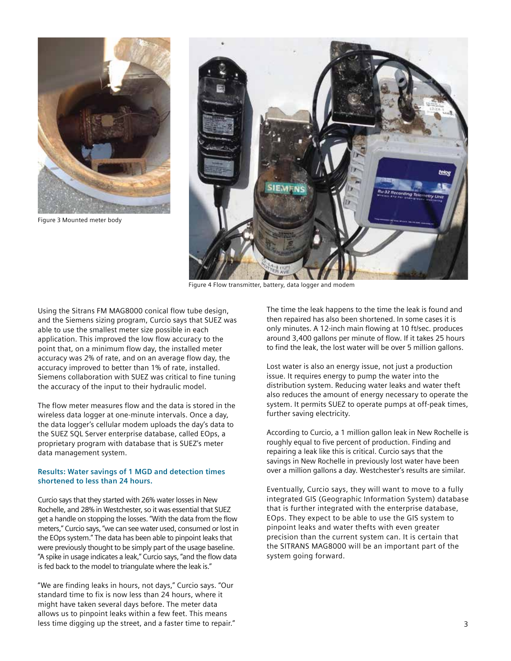

Figure 3 Mounted meter body



Figure 4 Flow transmitter, battery, data logger and modem

Using the Sitrans FM MAG8000 conical flow tube design, and the Siemens sizing program, Curcio says that SUEZ was able to use the smallest meter size possible in each application. This improved the low flow accuracy to the point that, on a minimum flow day, the installed meter accuracy was 2% of rate, and on an average flow day, the accuracy improved to better than 1% of rate, installed. Siemens collaboration with SUEZ was critical to fine tuning the accuracy of the input to their hydraulic model.

The flow meter measures flow and the data is stored in the wireless data logger at one-minute intervals. Once a day, the data logger's cellular modem uploads the day's data to the SUEZ SQL Server enterprise database, called EOps, a proprietary program with database that is SUEZ's meter data management system.

#### **Results: Water savings of 1 MGD and detection times shortened to less than 24 hours.**

Curcio says that they started with 26% water losses in New Rochelle, and 28% in Westchester, so it was essential that SUEZ get a handle on stopping the losses. "With the data from the flow meters," Curcio says, "we can see water used, consumed or lost in the EOps system." The data has been able to pinpoint leaks that were previously thought to be simply part of the usage baseline. "A spike in usage indicates a leak," Curcio says, "and the flow data is fed back to the model to triangulate where the leak is."

"We are finding leaks in hours, not days," Curcio says. "Our standard time to fix is now less than 24 hours, where it might have taken several days before. The meter data allows us to pinpoint leaks within a few feet. This means less time digging up the street, and a faster time to repair." The time the leak happens to the time the leak is found and then repaired has also been shortened. In some cases it is only minutes. A 12-inch main flowing at 10 ft/sec. produces around 3,400 gallons per minute of flow. If it takes 25 hours to find the leak, the lost water will be over 5 million gallons.

Lost water is also an energy issue, not just a production issue. It requires energy to pump the water into the distribution system. Reducing water leaks and water theft also reduces the amount of energy necessary to operate the system. It permits SUEZ to operate pumps at off-peak times, further saving electricity.

According to Curcio, a 1 million gallon leak in New Rochelle is roughly equal to five percent of production. Finding and repairing a leak like this is critical. Curcio says that the savings in New Rochelle in previously lost water have been over a million gallons a day. Westchester's results are similar.

Eventually, Curcio says, they will want to move to a fully integrated GIS (Geographic Information System) database that is further integrated with the enterprise database, EOps. They expect to be able to use the GIS system to pinpoint leaks and water thefts with even greater precision than the current system can. It is certain that the SITRANS MAG8000 will be an important part of the system going forward.